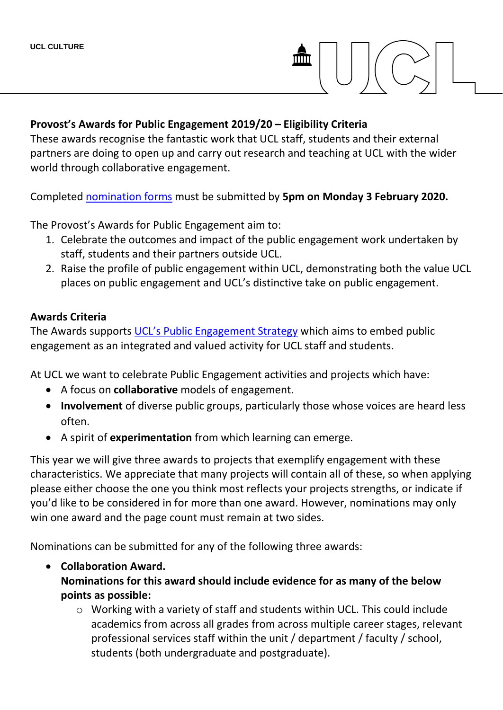

#### **Provost's Awards for Public Engagement 2019/20 – Eligibility Criteria**

These awards recognise the fantastic work that UCL staff, students and their external partners are doing to open up and carry out research and teaching at UCL with the wider world through collaborative engagement.

Completed [nomination forms](https://www.ucl.ac.uk/culture/sites/culture/files/2019-20_pe_awards_nomination_form.docx) must be submitted by **5pm on Monday 3 February 2020.**

The Provost's Awards for Public Engagement aim to:

- 1. Celebrate the outcomes and impact of the public engagement work undertaken by staff, students and their partners outside UCL.
- 2. Raise the profile of public engagement within UCL, demonstrating both the value UCL places on public engagement and UCL's distinctive take on public engagement.

#### **Awards Criteria**

The Awards supports [UCL's Public Engagement Strategy](file://///ad.ucl.ac.uk/GroupFolders/UCLCULTURE_%20Engagement/PEU/Funding%20-%20outgoing/Beacon%20Bursaries/2019-10/2019-10%20Application%20form%20and%20guidance/Drafts/(https:/www.ucl.ac.uk/culture/sites/culture/files/ucl_public_engagement_strategy_2017.pdf):) which aims to embed public engagement as an integrated and valued activity for UCL staff and students.

At UCL we want to celebrate Public Engagement activities and projects which have:

- A focus on **collaborative** models of engagement.
- **Involvement** of diverse public groups, particularly those whose voices are heard less often.
- A spirit of **experimentation** from which learning can emerge.

This year we will give three awards to projects that exemplify engagement with these characteristics. We appreciate that many projects will contain all of these, so when applying please either choose the one you think most reflects your projects strengths, or indicate if you'd like to be considered in for more than one award. However, nominations may only win one award and the page count must remain at two sides.

Nominations can be submitted for any of the following three awards:

# **Collaboration Award.**

**Nominations for this award should include evidence for as many of the below points as possible:**

o Working with a variety of staff and students within UCL. This could include academics from across all grades from across multiple career stages, relevant professional services staff within the unit / department / faculty / school, students (both undergraduate and postgraduate).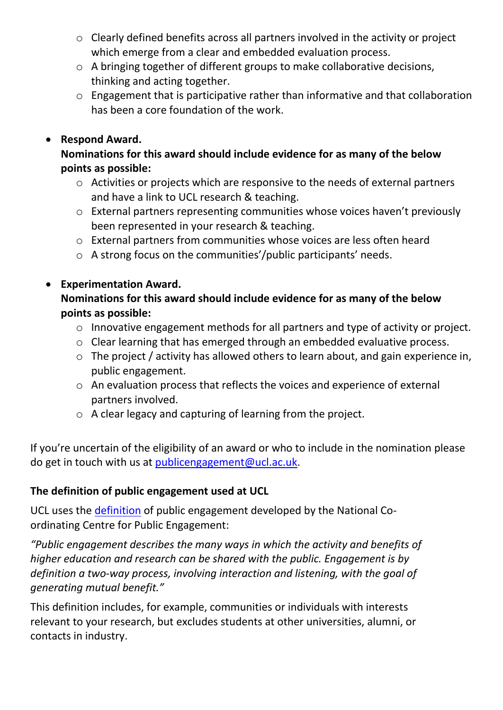- o Clearly defined benefits across all partners involved in the activity or project which emerge from a clear and embedded evaluation process.
- o A bringing together of different groups to make collaborative decisions, thinking and acting together.
- o Engagement that is participative rather than informative and that collaboration has been a core foundation of the work.

# **Respond Award.**

# **Nominations for this award should include evidence for as many of the below points as possible:**

- o Activities or projects which are responsive to the needs of external partners and have a link to UCL research & teaching.
- o External partners representing communities whose voices haven't previously been represented in your research & teaching.
- o External partners from communities whose voices are less often heard
- o A strong focus on the communities'/public participants' needs.

# **Experimentation Award.**

**Nominations for this award should include evidence for as many of the below points as possible:**

- o Innovative engagement methods for all partners and type of activity or project.
- o Clear learning that has emerged through an embedded evaluative process.
- o The project / activity has allowed others to learn about, and gain experience in, public engagement.
- o An evaluation process that reflects the voices and experience of external partners involved.
- o A clear legacy and capturing of learning from the project.

If you're uncertain of the eligibility of an award or who to include in the nomination please do get in touch with us at [publicengagement@ucl.ac.uk.](mailto:publicengagement@ucl.ac.uk)

# **The definition of public engagement used at UCL**

UCL uses the [definition](http://www.publicengagement.ac.uk/what) of public engagement developed by the National Coordinating Centre for Public Engagement:

*"Public engagement describes the many ways in which the activity and benefits of higher education and research can be shared with the public. Engagement is by definition a two-way process, involving interaction and listening, with the goal of generating mutual benefit."*

This definition includes, for example, communities or individuals with interests relevant to your research, but excludes students at other universities, alumni, or contacts in industry.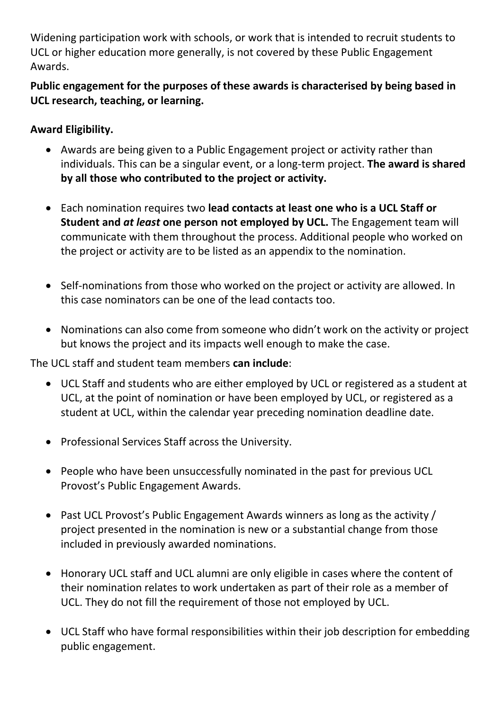Widening participation work with schools, or work that is intended to recruit students to UCL or higher education more generally, is not covered by these Public Engagement Awards.

# **Public engagement for the purposes of these awards is characterised by being based in UCL research, teaching, or learning.**

# **Award Eligibility.**

- Awards are being given to a Public Engagement project or activity rather than individuals. This can be a singular event, or a long-term project. **The award is shared by all those who contributed to the project or activity.**
- Each nomination requires two **lead contacts at least one who is a UCL Staff or Student and** *at least* **one person not employed by UCL.** The Engagement team will communicate with them throughout the process. Additional people who worked on the project or activity are to be listed as an appendix to the nomination.
- Self-nominations from those who worked on the project or activity are allowed. In this case nominators can be one of the lead contacts too.
- Nominations can also come from someone who didn't work on the activity or project but knows the project and its impacts well enough to make the case.

The UCL staff and student team members **can include**:

- UCL Staff and students who are either employed by UCL or registered as a student at UCL, at the point of nomination or have been employed by UCL, or registered as a student at UCL, within the calendar year preceding nomination deadline date.
- Professional Services Staff across the University.
- People who have been unsuccessfully nominated in the past for previous UCL Provost's Public Engagement Awards.
- Past UCL Provost's Public Engagement Awards winners as long as the activity / project presented in the nomination is new or a substantial change from those included in previously awarded nominations.
- Honorary UCL staff and UCL alumni are only eligible in cases where the content of their nomination relates to work undertaken as part of their role as a member of UCL. They do not fill the requirement of those not employed by UCL.
- UCL Staff who have formal responsibilities within their job description for embedding public engagement.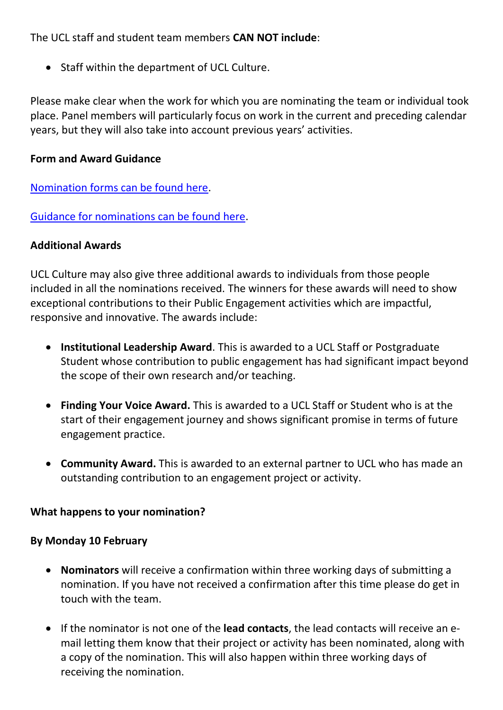The UCL staff and student team members **CAN NOT include**:

• Staff within the department of UCL Culture.

Please make clear when the work for which you are nominating the team or individual took place. Panel members will particularly focus on work in the current and preceding calendar years, but they will also take into account previous years' activities.

# **Form and Award Guidance**

[Nomination forms can be found here.](https://www.ucl.ac.uk/culture/sites/culture/files/2019-20_pe_awards_nomination_form.docx)

[Guidance for nominations can be found here.](https://www.ucl.ac.uk/culture/sites/culture/files/2019-20_pe_awards_nomination_form_guidance.pdf)

# **Additional Awards**

UCL Culture may also give three additional awards to individuals from those people included in all the nominations received. The winners for these awards will need to show exceptional contributions to their Public Engagement activities which are impactful, responsive and innovative. The awards include:

- **Institutional Leadership Award**. This is awarded to a UCL Staff or Postgraduate Student whose contribution to public engagement has had significant impact beyond the scope of their own research and/or teaching.
- **Finding Your Voice Award.** This is awarded to a UCL Staff or Student who is at the start of their engagement journey and shows significant promise in terms of future engagement practice.
- **Community Award.** This is awarded to an external partner to UCL who has made an outstanding contribution to an engagement project or activity.

# **What happens to your nomination?**

# **By Monday 10 February**

- **Nominators** will receive a confirmation within three working days of submitting a nomination. If you have not received a confirmation after this time please do get in touch with the team.
- If the nominator is not one of the **lead contacts**, the lead contacts will receive an email letting them know that their project or activity has been nominated, along with a copy of the nomination. This will also happen within three working days of receiving the nomination.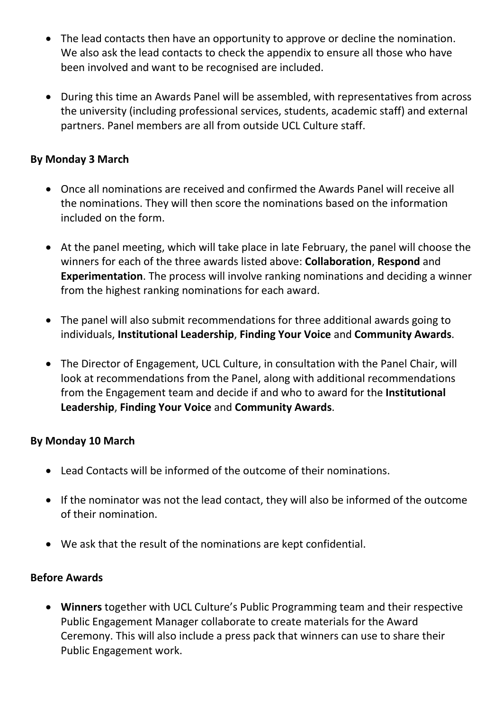- The lead contacts then have an opportunity to approve or decline the nomination. We also ask the lead contacts to check the appendix to ensure all those who have been involved and want to be recognised are included.
- During this time an Awards Panel will be assembled, with representatives from across the university (including professional services, students, academic staff) and external partners. Panel members are all from outside UCL Culture staff.

# **By Monday 3 March**

- Once all nominations are received and confirmed the Awards Panel will receive all the nominations. They will then score the nominations based on the information included on the form.
- At the panel meeting, which will take place in late February, the panel will choose the winners for each of the three awards listed above: **Collaboration**, **Respond** and **Experimentation**. The process will involve ranking nominations and deciding a winner from the highest ranking nominations for each award.
- The panel will also submit recommendations for three additional awards going to individuals, **Institutional Leadership**, **Finding Your Voice** and **Community Awards**.
- The Director of Engagement, UCL Culture, in consultation with the Panel Chair, will look at recommendations from the Panel, along with additional recommendations from the Engagement team and decide if and who to award for the **Institutional Leadership**, **Finding Your Voice** and **Community Awards**.

# **By Monday 10 March**

- Lead Contacts will be informed of the outcome of their nominations.
- If the nominator was not the lead contact, they will also be informed of the outcome of their nomination.
- We ask that the result of the nominations are kept confidential.

#### **Before Awards**

 **Winners** together with UCL Culture's Public Programming team and their respective Public Engagement Manager collaborate to create materials for the Award Ceremony. This will also include a press pack that winners can use to share their Public Engagement work.